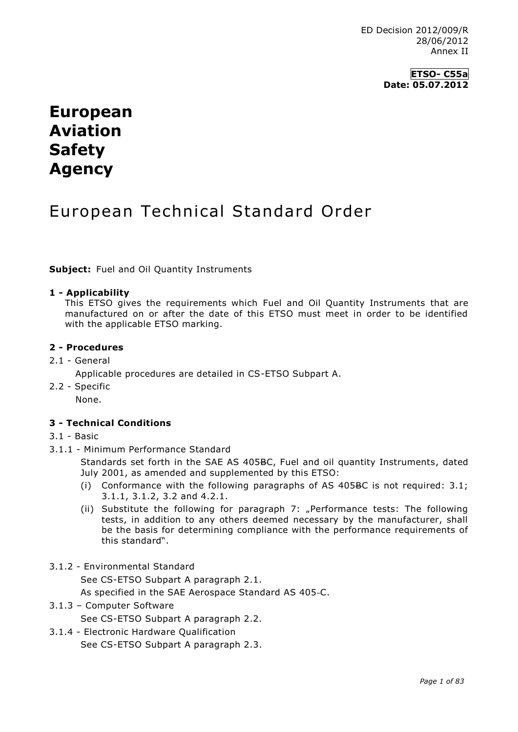# **European Aviation Safety Agency**

# European Technical Standard Order

**Subject:** Fuel and Oil Quantity Instruments

### **1 - Applicability**

This ETSO gives the requirements which Fuel and Oil Quantity Instruments that are manufactured on or after the date of this ETSO must meet in order to be identified with the applicable ETSO marking.

### **2 - Procedures**

2.1 - General

Applicable procedures are detailed in CS-ETSO Subpart A.

2.2 - Specific

None.

### **3 - Technical Conditions**

- 3.1 Basic
- 3.1.1 Minimum Performance Standard

Standards set forth in the SAE AS 405BC, Fuel and oil quantity Instruments, dated July 2001, as amended and supplemented by this ETSO:

- (i) Conformance with the following paragraphs of AS 405BC is not required: 3.1; 3.1.1, 3.1.2, 3.2 and 4.2.1.
- (ii) Substitute the following for paragraph 7: "Performance tests: The following tests, in addition to any others deemed necessary by the manufacturer, shall be the basis for determining compliance with the performance requirements of this standard".
- 3.1.2 Environmental Standard

See CS-ETSO Subpart A paragraph 2.1.

As specified in the SAE Aerospace Standard AS 405-C.

3.1.3 – Computer Software

See CS-ETSO Subpart A paragraph 2.2.

3.1.4 - Electronic Hardware Qualification See CS-ETSO Subpart A paragraph 2.3.